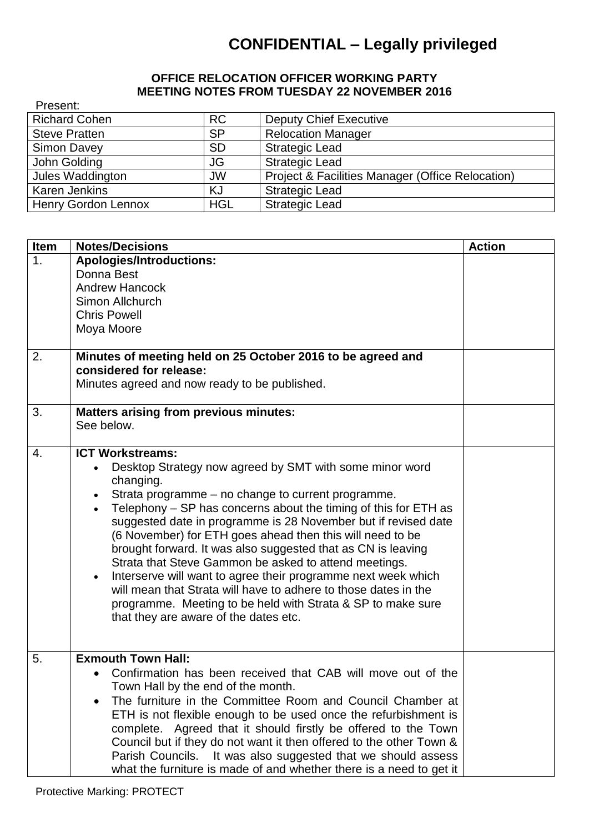## **CONFIDENTIAL – Legally privileged**

## **OFFICE RELOCATION OFFICER WORKING PARTY MEETING NOTES FROM TUESDAY 22 NOVEMBER 2016**

| Present:                   |            |                                                  |
|----------------------------|------------|--------------------------------------------------|
| <b>Richard Cohen</b>       | <b>RC</b>  | <b>Deputy Chief Executive</b>                    |
| <b>Steve Pratten</b>       | <b>SP</b>  | <b>Relocation Manager</b>                        |
| Simon Davey                | <b>SD</b>  | <b>Strategic Lead</b>                            |
| John Golding               | JG         | <b>Strategic Lead</b>                            |
| Jules Waddington           | <b>JW</b>  | Project & Facilities Manager (Office Relocation) |
| Karen Jenkins              | KJ         | <b>Strategic Lead</b>                            |
| <b>Henry Gordon Lennox</b> | <b>HGL</b> | <b>Strategic Lead</b>                            |

| <b>Item</b> | <b>Notes/Decisions</b>                                                                                                                                                                                                                                                                                                                                                                                                                                                                                                                                                                                                                                                                                                       | <b>Action</b> |
|-------------|------------------------------------------------------------------------------------------------------------------------------------------------------------------------------------------------------------------------------------------------------------------------------------------------------------------------------------------------------------------------------------------------------------------------------------------------------------------------------------------------------------------------------------------------------------------------------------------------------------------------------------------------------------------------------------------------------------------------------|---------------|
| 1.          | <b>Apologies/Introductions:</b><br>Donna Best<br><b>Andrew Hancock</b><br>Simon Allchurch<br><b>Chris Powell</b><br>Moya Moore                                                                                                                                                                                                                                                                                                                                                                                                                                                                                                                                                                                               |               |
| 2.          | Minutes of meeting held on 25 October 2016 to be agreed and<br>considered for release:<br>Minutes agreed and now ready to be published.                                                                                                                                                                                                                                                                                                                                                                                                                                                                                                                                                                                      |               |
| 3.          | <b>Matters arising from previous minutes:</b><br>See below.                                                                                                                                                                                                                                                                                                                                                                                                                                                                                                                                                                                                                                                                  |               |
| 4.          | <b>ICT Workstreams:</b><br>Desktop Strategy now agreed by SMT with some minor word<br>changing.<br>Strata programme – no change to current programme.<br>Telephony – SP has concerns about the timing of this for ETH as<br>suggested date in programme is 28 November but if revised date<br>(6 November) for ETH goes ahead then this will need to be<br>brought forward. It was also suggested that as CN is leaving<br>Strata that Steve Gammon be asked to attend meetings.<br>Interserve will want to agree their programme next week which<br>will mean that Strata will have to adhere to those dates in the<br>programme. Meeting to be held with Strata & SP to make sure<br>that they are aware of the dates etc. |               |
| 5.          | <b>Exmouth Town Hall:</b><br>Confirmation has been received that CAB will move out of the<br>Town Hall by the end of the month.<br>The furniture in the Committee Room and Council Chamber at<br>$\bullet$<br>ETH is not flexible enough to be used once the refurbishment is<br>complete. Agreed that it should firstly be offered to the Town<br>Council but if they do not want it then offered to the other Town &<br>Parish Councils. It was also suggested that we should assess<br>what the furniture is made of and whether there is a need to get it                                                                                                                                                                |               |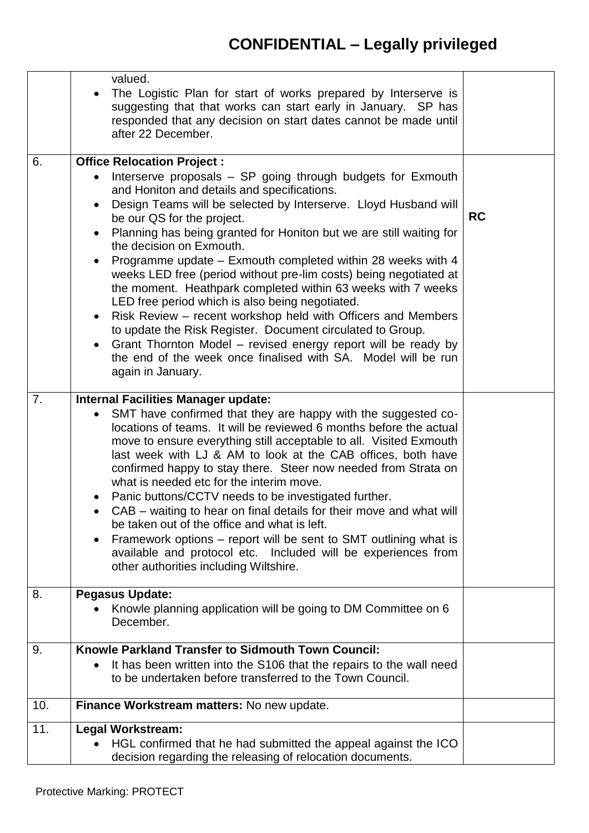## **CONFIDENTIAL – Legally privileged**

|     | valued.<br>The Logistic Plan for start of works prepared by Interserve is<br>suggesting that that works can start early in January. SP has<br>responded that any decision on start dates cannot be made until<br>after 22 December.                                                                                                                                                                                                                                                                                                                                                                                                                                                                                                                                                                                                                                                                          |           |
|-----|--------------------------------------------------------------------------------------------------------------------------------------------------------------------------------------------------------------------------------------------------------------------------------------------------------------------------------------------------------------------------------------------------------------------------------------------------------------------------------------------------------------------------------------------------------------------------------------------------------------------------------------------------------------------------------------------------------------------------------------------------------------------------------------------------------------------------------------------------------------------------------------------------------------|-----------|
| 6.  | <b>Office Relocation Project:</b><br>Interserve proposals - SP going through budgets for Exmouth<br>and Honiton and details and specifications.<br>Design Teams will be selected by Interserve. Lloyd Husband will<br>be our QS for the project.<br>Planning has being granted for Honiton but we are still waiting for<br>the decision on Exmouth.<br>Programme update – Exmouth completed within 28 weeks with 4<br>weeks LED free (period without pre-lim costs) being negotiated at<br>the moment. Heathpark completed within 63 weeks with 7 weeks<br>LED free period which is also being negotiated.<br>Risk Review – recent workshop held with Officers and Members<br>$\bullet$<br>to update the Risk Register. Document circulated to Group.<br>Grant Thornton Model - revised energy report will be ready by<br>the end of the week once finalised with SA. Model will be run<br>again in January. | <b>RC</b> |
| 7.  | <b>Internal Facilities Manager update:</b><br>SMT have confirmed that they are happy with the suggested co-<br>locations of teams. It will be reviewed 6 months before the actual<br>move to ensure everything still acceptable to all. Visited Exmouth<br>last week with LJ & AM to look at the CAB offices, both have<br>confirmed happy to stay there. Steer now needed from Strata on<br>what is needed etc for the interim move.<br>Panic buttons/CCTV needs to be investigated further.<br>CAB – waiting to hear on final details for their move and what will<br>be taken out of the office and what is left.<br>Framework options – report will be sent to SMT outlining what is<br>available and protocol etc. Included will be experiences from<br>other authorities including Wiltshire.                                                                                                          |           |
| 8.  | <b>Pegasus Update:</b><br>Knowle planning application will be going to DM Committee on 6<br>December.                                                                                                                                                                                                                                                                                                                                                                                                                                                                                                                                                                                                                                                                                                                                                                                                        |           |
| 9.  | Knowle Parkland Transfer to Sidmouth Town Council:<br>It has been written into the S106 that the repairs to the wall need<br>to be undertaken before transferred to the Town Council.                                                                                                                                                                                                                                                                                                                                                                                                                                                                                                                                                                                                                                                                                                                        |           |
| 10. | Finance Workstream matters: No new update.                                                                                                                                                                                                                                                                                                                                                                                                                                                                                                                                                                                                                                                                                                                                                                                                                                                                   |           |
| 11. | <b>Legal Workstream:</b><br>HGL confirmed that he had submitted the appeal against the ICO<br>decision regarding the releasing of relocation documents.                                                                                                                                                                                                                                                                                                                                                                                                                                                                                                                                                                                                                                                                                                                                                      |           |